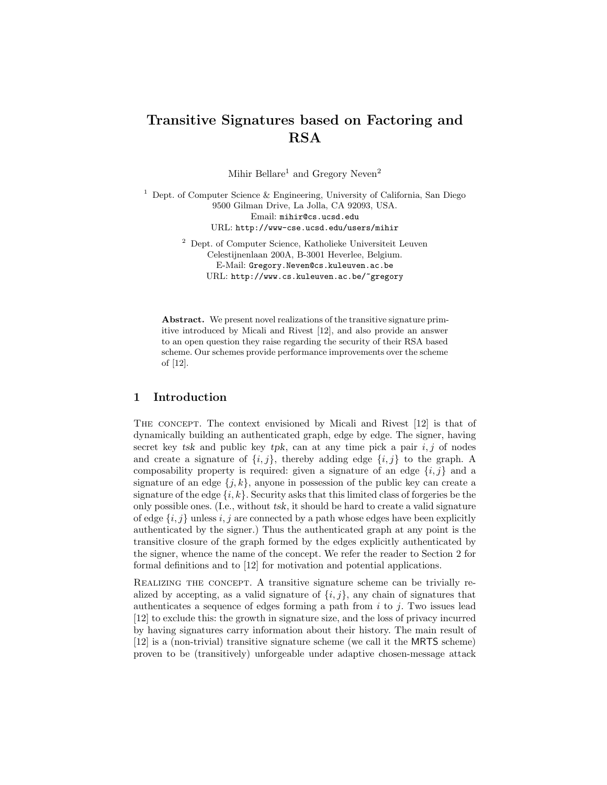# Transitive Signatures based on Factoring and RSA

Mihir Bellare<sup>1</sup> and Gregory Neven<sup>2</sup>

 $^1$  Dept. of Computer Science & Engineering, University of California, San Diego 9500 Gilman Drive, La Jolla, CA 92093, USA. Email: mihir@cs.ucsd.edu URL: http://www-cse.ucsd.edu/users/mihir

> <sup>2</sup> Dept. of Computer Science, Katholieke Universiteit Leuven Celestijnenlaan 200A, B-3001 Heverlee, Belgium. E-Mail: Gregory.Neven@cs.kuleuven.ac.be URL: http://www.cs.kuleuven.ac.be/~gregory

Abstract. We present novel realizations of the transitive signature primitive introduced by Micali and Rivest [12], and also provide an answer to an open question they raise regarding the security of their RSA based scheme. Our schemes provide performance improvements over the scheme of [12].

# 1 Introduction

The concept. The context envisioned by Micali and Rivest [12] is that of dynamically building an authenticated graph, edge by edge. The signer, having secret key tsk and public key tpk, can at any time pick a pair  $i, j$  of nodes and create a signature of  $\{i, j\}$ , thereby adding edge  $\{i, j\}$  to the graph. A composability property is required: given a signature of an edge  $\{i, j\}$  and a signature of an edge  $\{j, k\}$ , anyone in possession of the public key can create a signature of the edge  $\{i, k\}$ . Security asks that this limited class of forgeries be the only possible ones. (I.e., without tsk, it should be hard to create a valid signature of edge  $\{i, j\}$  unless i, j are connected by a path whose edges have been explicitly authenticated by the signer.) Thus the authenticated graph at any point is the transitive closure of the graph formed by the edges explicitly authenticated by the signer, whence the name of the concept. We refer the reader to Section 2 for formal definitions and to [12] for motivation and potential applications.

REALIZING THE CONCEPT. A transitive signature scheme can be trivially realized by accepting, as a valid signature of  $\{i, j\}$ , any chain of signatures that authenticates a sequence of edges forming a path from  $i$  to  $j$ . Two issues lead [12] to exclude this: the growth in signature size, and the loss of privacy incurred by having signatures carry information about their history. The main result of [12] is a (non-trivial) transitive signature scheme (we call it the MRTS scheme) proven to be (transitively) unforgeable under adaptive chosen-message attack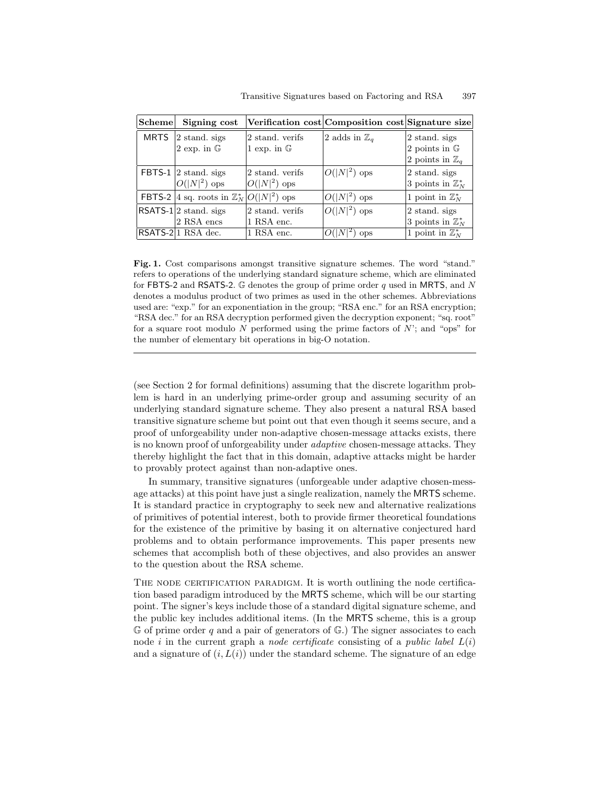| <b>Scheme</b> | Signing cost                                               |                            | Verification cost Composition cost Signature size |                              |
|---------------|------------------------------------------------------------|----------------------------|---------------------------------------------------|------------------------------|
| <b>MRTS</b>   | 2 stand. sigs                                              | 2 stand. verifs            | 2 adds in $\mathbb{Z}_q$                          | 2 stand. sigs                |
|               | $2 \exp$ . in $\mathbb{G}$                                 | $1 \exp$ . in $\mathbb{G}$ |                                                   | 2 points in $\mathbb{G}$     |
|               |                                                            |                            |                                                   | 2 points in $\mathbb{Z}_q$   |
|               | FBTS-1 $\vert$ 2 stand. sigs                               | 2 stand. verifs            | $O( N ^2)$ ops                                    | 2 stand. sigs                |
|               | $O( N ^2)$ ops                                             | $O( N ^2)$ ops             |                                                   | 3 points in $\mathbb{Z}_N^*$ |
|               | <b>FBTS-2</b> 4 sq. roots in $\mathbb{Z}_N^* O( N ^2)$ ops |                            | $O( N ^2)$ ops                                    | 1 point in $\mathbb{Z}_N^*$  |
|               | $RSATS-12$ stand. sigs                                     | 2 stand, verifs            | $O( N ^2)$ ops                                    | 2 stand. sigs                |
|               | 2 RSA encs                                                 | 1 RSA enc.                 |                                                   | 3 points in $\mathbb{Z}_N^*$ |
|               | RSATS-21 RSA dec.                                          | 1 RSA enc.                 | <b>ODS</b>                                        | 1 point in $\mathbb{Z}_N^*$  |

Fig. 1. Cost comparisons amongst transitive signature schemes. The word "stand." refers to operations of the underlying standard signature scheme, which are eliminated for FBTS-2 and RSATS-2.  $\mathbb G$  denotes the group of prime order q used in MRTS, and N denotes a modulus product of two primes as used in the other schemes. Abbreviations used are: "exp." for an exponentiation in the group; "RSA enc." for an RSA encryption; "RSA dec." for an RSA decryption performed given the decryption exponent; "sq. root" for a square root modulo N performed using the prime factors of  $N$ ; and "ops" for the number of elementary bit operations in big-O notation.

(see Section 2 for formal definitions) assuming that the discrete logarithm problem is hard in an underlying prime-order group and assuming security of an underlying standard signature scheme. They also present a natural RSA based transitive signature scheme but point out that even though it seems secure, and a proof of unforgeability under non-adaptive chosen-message attacks exists, there is no known proof of unforgeability under adaptive chosen-message attacks. They thereby highlight the fact that in this domain, adaptive attacks might be harder to provably protect against than non-adaptive ones.

In summary, transitive signatures (unforgeable under adaptive chosen-message attacks) at this point have just a single realization, namely the MRTS scheme. It is standard practice in cryptography to seek new and alternative realizations of primitives of potential interest, both to provide firmer theoretical foundations for the existence of the primitive by basing it on alternative conjectured hard problems and to obtain performance improvements. This paper presents new schemes that accomplish both of these objectives, and also provides an answer to the question about the RSA scheme.

THE NODE CERTIFICATION PARADIGM. It is worth outlining the node certification based paradigm introduced by the MRTS scheme, which will be our starting point. The signer's keys include those of a standard digital signature scheme, and the public key includes additional items. (In the MRTS scheme, this is a group  $\mathbb G$  of prime order q and a pair of generators of  $\mathbb G$ .) The signer associates to each node i in the current graph a *node certificate* consisting of a *public label*  $L(i)$ and a signature of  $(i, L(i))$  under the standard scheme. The signature of an edge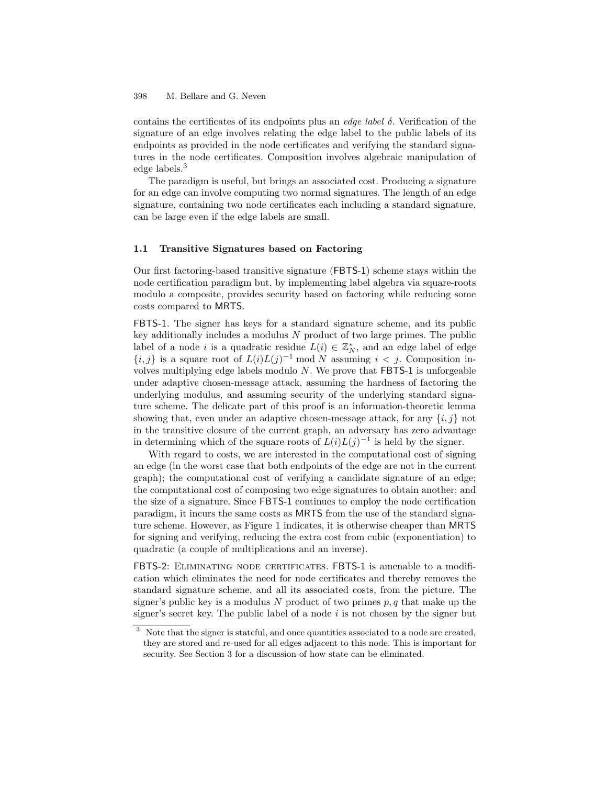contains the certificates of its endpoints plus an *edge label*  $\delta$ . Verification of the signature of an edge involves relating the edge label to the public labels of its endpoints as provided in the node certificates and verifying the standard signatures in the node certificates. Composition involves algebraic manipulation of edge labels.<sup>3</sup>

The paradigm is useful, but brings an associated cost. Producing a signature for an edge can involve computing two normal signatures. The length of an edge signature, containing two node certificates each including a standard signature, can be large even if the edge labels are small.

## 1.1 Transitive Signatures based on Factoring

Our first factoring-based transitive signature (FBTS-1) scheme stays within the node certification paradigm but, by implementing label algebra via square-roots modulo a composite, provides security based on factoring while reducing some costs compared to MRTS.

FBTS-1. The signer has keys for a standard signature scheme, and its public key additionally includes a modulus  $N$  product of two large primes. The public label of a node i is a quadratic residue  $L(i) \in \mathbb{Z}_N^*$ , and an edge label of edge  ${i, j}$  is a square root of  $L(i)L(j)^{-1} \mod N$  assuming  $i < j$ . Composition involves multiplying edge labels modulo  $N$ . We prove that **FBTS-1** is unforgeable under adaptive chosen-message attack, assuming the hardness of factoring the underlying modulus, and assuming security of the underlying standard signature scheme. The delicate part of this proof is an information-theoretic lemma showing that, even under an adaptive chosen-message attack, for any  $\{i, j\}$  not in the transitive closure of the current graph, an adversary has zero advantage in determining which of the square roots of  $L(i)L(j)^{-1}$  is held by the signer.

With regard to costs, we are interested in the computational cost of signing an edge (in the worst case that both endpoints of the edge are not in the current graph); the computational cost of verifying a candidate signature of an edge; the computational cost of composing two edge signatures to obtain another; and the size of a signature. Since FBTS-1 continues to employ the node certification paradigm, it incurs the same costs as MRTS from the use of the standard signature scheme. However, as Figure 1 indicates, it is otherwise cheaper than MRTS for signing and verifying, reducing the extra cost from cubic (exponentiation) to quadratic (a couple of multiplications and an inverse).

FBTS-2: ELIMINATING NODE CERTIFICATES. FBTS-1 is amenable to a modification which eliminates the need for node certificates and thereby removes the standard signature scheme, and all its associated costs, from the picture. The signer's public key is a modulus N product of two primes  $p, q$  that make up the signer's secret key. The public label of a node  $i$  is not chosen by the signer but

<sup>&</sup>lt;sup>3</sup> Note that the signer is stateful, and once quantities associated to a node are created, they are stored and re-used for all edges adjacent to this node. This is important for security. See Section 3 for a discussion of how state can be eliminated.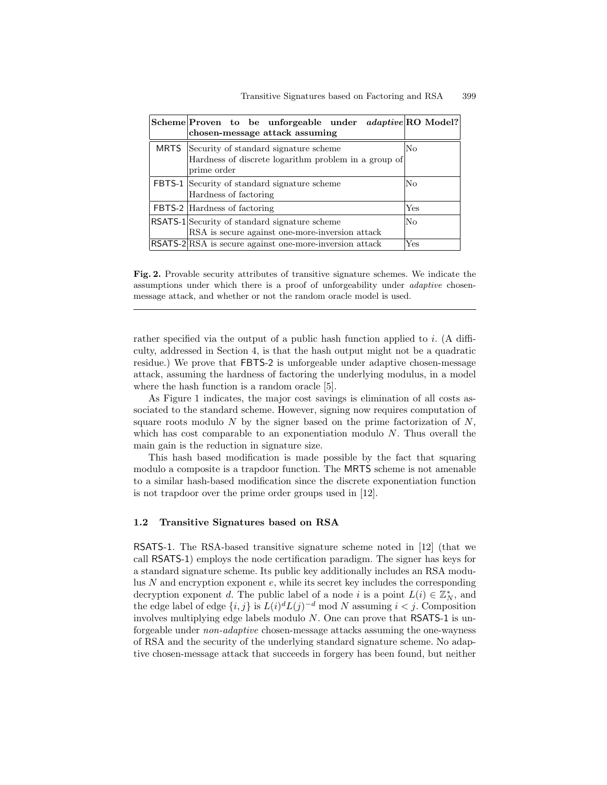|             | Scheme Proven to be unforgeable under <i>adaptive</i> RO Model?<br>chosen-message attack assuming            |     |
|-------------|--------------------------------------------------------------------------------------------------------------|-----|
| <b>MRTS</b> | Security of standard signature scheme<br>Hardness of discrete logarithm problem in a group of<br>prime order | No  |
|             | <b>FBTS-1</b> Security of standard signature scheme<br>Hardness of factoring                                 | No  |
|             | FBTS-2 Hardness of factoring                                                                                 | Yes |
|             | RSATS-1 Security of standard signature scheme<br>RSA is secure against one-more-inversion attack             | No  |
|             | RSATS-2 RSA is secure against one-more-inversion attack                                                      | Yes |

Fig. 2. Provable security attributes of transitive signature schemes. We indicate the assumptions under which there is a proof of unforgeability under adaptive chosenmessage attack, and whether or not the random oracle model is used.

rather specified via the output of a public hash function applied to  $i$ . (A difficulty, addressed in Section 4, is that the hash output might not be a quadratic residue.) We prove that FBTS-2 is unforgeable under adaptive chosen-message attack, assuming the hardness of factoring the underlying modulus, in a model where the hash function is a random oracle [5].

As Figure 1 indicates, the major cost savings is elimination of all costs associated to the standard scheme. However, signing now requires computation of square roots modulo  $N$  by the signer based on the prime factorization of  $N$ , which has cost comparable to an exponentiation modulo  $N$ . Thus overall the main gain is the reduction in signature size.

This hash based modification is made possible by the fact that squaring modulo a composite is a trapdoor function. The MRTS scheme is not amenable to a similar hash-based modification since the discrete exponentiation function is not trapdoor over the prime order groups used in [12].

## 1.2 Transitive Signatures based on RSA

RSATS-1. The RSA-based transitive signature scheme noted in [12] (that we call RSATS-1) employs the node certification paradigm. The signer has keys for a standard signature scheme. Its public key additionally includes an RSA modulus  $N$  and encryption exponent  $e$ , while its secret key includes the corresponding decryption exponent d. The public label of a node i is a point  $L(i) \in \mathbb{Z}_N^*$ , and the edge label of edge  $\{i, j\}$  is  $L(i)^d L(j)^{-d} \text{ mod } N$  assuming  $i < j$ . Composition involves multiplying edge labels modulo  $N$ . One can prove that RSATS-1 is unforgeable under non-adaptive chosen-message attacks assuming the one-wayness of RSA and the security of the underlying standard signature scheme. No adaptive chosen-message attack that succeeds in forgery has been found, but neither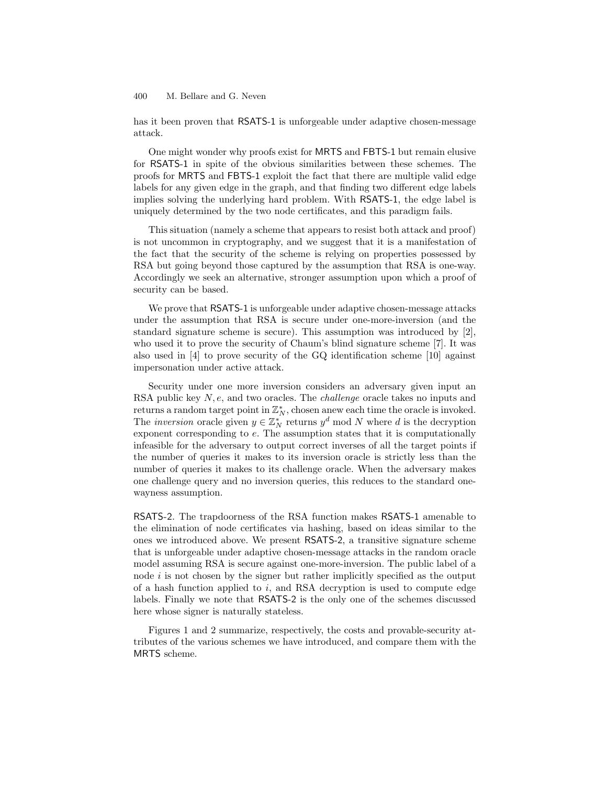has it been proven that RSATS-1 is unforgeable under adaptive chosen-message attack.

One might wonder why proofs exist for MRTS and FBTS-1 but remain elusive for RSATS-1 in spite of the obvious similarities between these schemes. The proofs for MRTS and FBTS-1 exploit the fact that there are multiple valid edge labels for any given edge in the graph, and that finding two different edge labels implies solving the underlying hard problem. With RSATS-1, the edge label is uniquely determined by the two node certificates, and this paradigm fails.

This situation (namely a scheme that appears to resist both attack and proof) is not uncommon in cryptography, and we suggest that it is a manifestation of the fact that the security of the scheme is relying on properties possessed by RSA but going beyond those captured by the assumption that RSA is one-way. Accordingly we seek an alternative, stronger assumption upon which a proof of security can be based.

We prove that RSATS-1 is unforgeable under adaptive chosen-message attacks under the assumption that RSA is secure under one-more-inversion (and the standard signature scheme is secure). This assumption was introduced by [2], who used it to prove the security of Chaum's blind signature scheme [7]. It was also used in [4] to prove security of the GQ identification scheme [10] against impersonation under active attack.

Security under one more inversion considers an adversary given input an RSA public key  $N, e$ , and two oracles. The *challenge* oracle takes no inputs and returns a random target point in  $\mathbb{Z}_N^*$ , chosen anew each time the oracle is invoked. The *inversion* oracle given  $y \in \mathbb{Z}_N^*$  returns  $y^d \mod N$  where d is the decryption exponent corresponding to e. The assumption states that it is computationally infeasible for the adversary to output correct inverses of all the target points if the number of queries it makes to its inversion oracle is strictly less than the number of queries it makes to its challenge oracle. When the adversary makes one challenge query and no inversion queries, this reduces to the standard onewayness assumption.

RSATS-2. The trapdoorness of the RSA function makes RSATS-1 amenable to the elimination of node certificates via hashing, based on ideas similar to the ones we introduced above. We present RSATS-2, a transitive signature scheme that is unforgeable under adaptive chosen-message attacks in the random oracle model assuming RSA is secure against one-more-inversion. The public label of a node  $i$  is not chosen by the signer but rather implicitly specified as the output of a hash function applied to  $i$ , and RSA decryption is used to compute edge labels. Finally we note that RSATS-2 is the only one of the schemes discussed here whose signer is naturally stateless.

Figures 1 and 2 summarize, respectively, the costs and provable-security attributes of the various schemes we have introduced, and compare them with the MRTS scheme.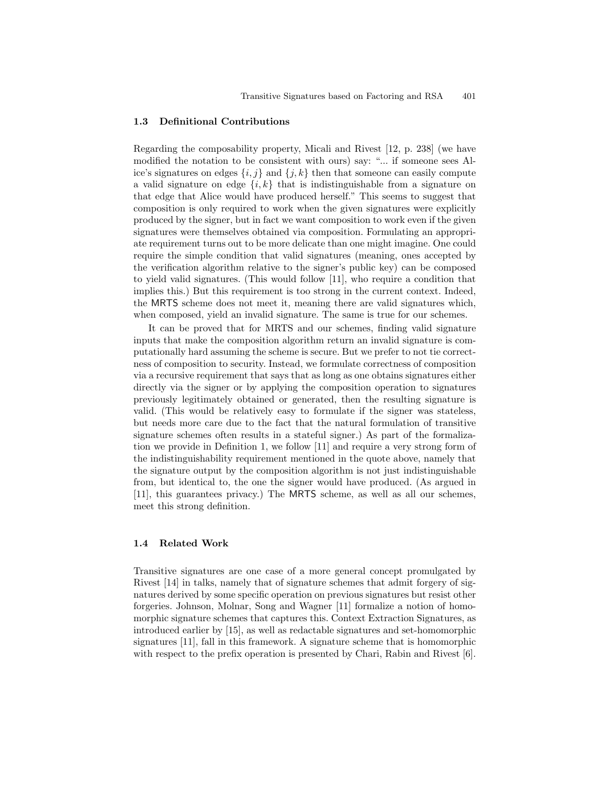### 1.3 Definitional Contributions

Regarding the composability property, Micali and Rivest [12, p. 238] (we have modified the notation to be consistent with ours) say: "... if someone sees Alice's signatures on edges  $\{i, j\}$  and  $\{j, k\}$  then that someone can easily compute a valid signature on edge  $\{i, k\}$  that is indistinguishable from a signature on that edge that Alice would have produced herself." This seems to suggest that composition is only required to work when the given signatures were explicitly produced by the signer, but in fact we want composition to work even if the given signatures were themselves obtained via composition. Formulating an appropriate requirement turns out to be more delicate than one might imagine. One could require the simple condition that valid signatures (meaning, ones accepted by the verification algorithm relative to the signer's public key) can be composed to yield valid signatures. (This would follow [11], who require a condition that implies this.) But this requirement is too strong in the current context. Indeed, the MRTS scheme does not meet it, meaning there are valid signatures which, when composed, yield an invalid signature. The same is true for our schemes.

It can be proved that for MRTS and our schemes, finding valid signature inputs that make the composition algorithm return an invalid signature is computationally hard assuming the scheme is secure. But we prefer to not tie correctness of composition to security. Instead, we formulate correctness of composition via a recursive requirement that says that as long as one obtains signatures either directly via the signer or by applying the composition operation to signatures previously legitimately obtained or generated, then the resulting signature is valid. (This would be relatively easy to formulate if the signer was stateless, but needs more care due to the fact that the natural formulation of transitive signature schemes often results in a stateful signer.) As part of the formalization we provide in Definition 1, we follow [11] and require a very strong form of the indistinguishability requirement mentioned in the quote above, namely that the signature output by the composition algorithm is not just indistinguishable from, but identical to, the one the signer would have produced. (As argued in [11], this guarantees privacy.) The MRTS scheme, as well as all our schemes, meet this strong definition.

## 1.4 Related Work

Transitive signatures are one case of a more general concept promulgated by Rivest [14] in talks, namely that of signature schemes that admit forgery of signatures derived by some specific operation on previous signatures but resist other forgeries. Johnson, Molnar, Song and Wagner [11] formalize a notion of homomorphic signature schemes that captures this. Context Extraction Signatures, as introduced earlier by [15], as well as redactable signatures and set-homomorphic signatures [11], fall in this framework. A signature scheme that is homomorphic with respect to the prefix operation is presented by Chari, Rabin and Rivest [6].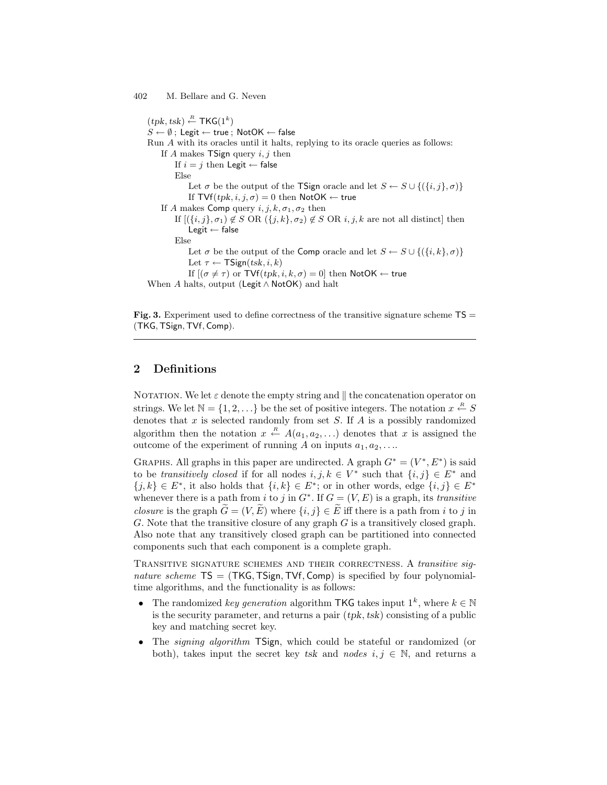$(tpk, tsk) \stackrel{R}{\leftarrow}$  TKG $(1^k)$  $S \leftarrow \emptyset$ ; Legit  $\leftarrow$  true; NotOK  $\leftarrow$  false Run A with its oracles until it halts, replying to its oracle queries as follows: If A makes  $\overline{TS}$ ign query i, j then If  $i = j$  then Legit  $\leftarrow$  false Else Let  $\sigma$  be the output of the TSign oracle and let  $S \leftarrow S \cup \{(\{i, j\}, \sigma)\}\$ If  $TVf(tpk, i, j, \sigma) = 0$  then NotOK  $\leftarrow$  true If A makes Comp query  $i, j, k, \sigma_1, \sigma_2$  then If  $[(\{i, j\}, \sigma_1) \notin S \text{ OR } (\{j, k\}, \sigma_2) \notin S \text{ OR } i, j, k \text{ are not all distinct}]$  then Legit ← false Else Let  $\sigma$  be the output of the Comp oracle and let  $S \leftarrow S \cup \{(\{i,k\}, \sigma)\}\$ Let  $\tau \leftarrow \mathsf{TSign}(tsk, i, k)$ If  $[(\sigma \neq \tau)$  or TVf $(tpk, i, k, \sigma) = 0]$  then NotOK  $\leftarrow$  true When  $A$  halts, output (Legit  $\land$  NotOK) and halt

Fig. 3. Experiment used to define correctness of the transitive signature scheme  $TS =$ (TKG, TSign, TVf, Comp).

# 2 Definitions

NOTATION. We let  $\varepsilon$  denote the empty string and  $\parallel$  the concatenation operator on strings. We let  $\mathbb{N} = \{1, 2, ...\}$  be the set of positive integers. The notation  $x \stackrel{R}{\leftarrow} S$ denotes that  $x$  is selected randomly from set  $S$ . If  $A$  is a possibly randomized algorithm then the notation  $x \stackrel{R}{\leftarrow} A(a_1, a_2, \ldots)$  denotes that x is assigned the outcome of the experiment of running A on inputs  $a_1, a_2, \ldots$ 

GRAPHS. All graphs in this paper are undirected. A graph  $G^* = (V^*, E^*)$  is said to be transitively closed if for all nodes  $i, j, k \in V^*$  such that  $\{i, j\} \in E^*$  and  $\{j,k\} \in E^*$ , it also holds that  $\{i,k\} \in E^*$ ; or in other words, edge  $\{i,j\} \in E^*$ whenever there is a path from i to j in  $G^*$ . If  $G = (V, E)$  is a graph, its transitive closure is the graph  $\tilde{G} = (V, \tilde{E})$  where  $\{i, j\} \in \tilde{E}$  iff there is a path from i to j in G. Note that the transitive closure of any graph G is a transitively closed graph. Also note that any transitively closed graph can be partitioned into connected components such that each component is a complete graph.

Transitive signature schemes and their correctness. A transitive signature scheme  $TS = (TKG, TSign, TVf, Comp)$  is specified by four polynomialtime algorithms, and the functionality is as follows:

- The randomized key generation algorithm **TKG** takes input  $1^k$ , where  $k \in \mathbb{N}$ is the security parameter, and returns a pair  $(tpk,tsk)$  consisting of a public key and matching secret key.
- The *signing algorithm* TSign, which could be stateful or randomized (or both), takes input the secret key tsk and nodes  $i, j \in \mathbb{N}$ , and returns a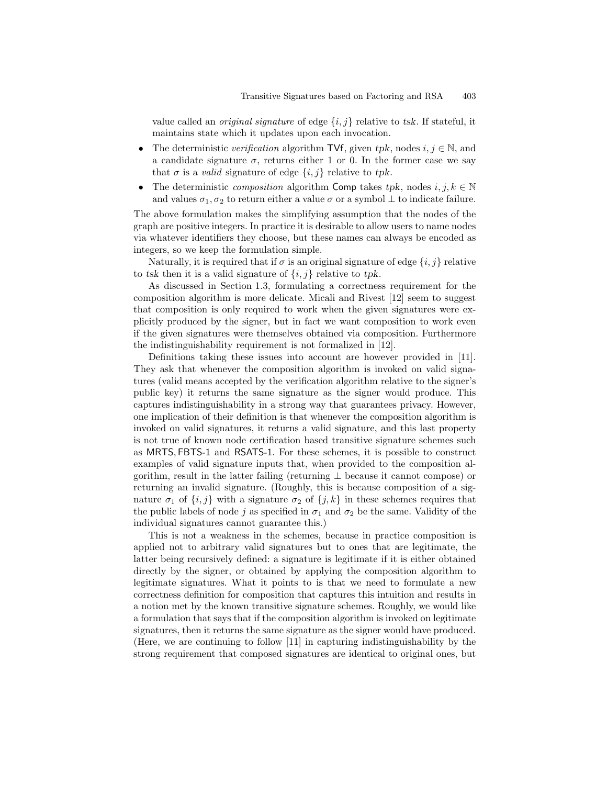value called an *original signature* of edge  $\{i, j\}$  relative to tsk. If stateful, it maintains state which it updates upon each invocation.

- The deterministic *verification* algorithm TVf, given tpk, nodes  $i, j \in \mathbb{N}$ , and a candidate signature  $\sigma$ , returns either 1 or 0. In the former case we say that  $\sigma$  is a *valid* signature of edge  $\{i, j\}$  relative to tpk.
- The deterministic *composition* algorithm Comp takes tpk, nodes i, j,  $k \in \mathbb{N}$ and values  $\sigma_1, \sigma_2$  to return either a value  $\sigma$  or a symbol  $\perp$  to indicate failure.

The above formulation makes the simplifying assumption that the nodes of the graph are positive integers. In practice it is desirable to allow users to name nodes via whatever identifiers they choose, but these names can always be encoded as integers, so we keep the formulation simple.

Naturally, it is required that if  $\sigma$  is an original signature of edge  $\{i, j\}$  relative to tsk then it is a valid signature of  $\{i, j\}$  relative to tpk.

As discussed in Section 1.3, formulating a correctness requirement for the composition algorithm is more delicate. Micali and Rivest [12] seem to suggest that composition is only required to work when the given signatures were explicitly produced by the signer, but in fact we want composition to work even if the given signatures were themselves obtained via composition. Furthermore the indistinguishability requirement is not formalized in [12].

Definitions taking these issues into account are however provided in [11]. They ask that whenever the composition algorithm is invoked on valid signatures (valid means accepted by the verification algorithm relative to the signer's public key) it returns the same signature as the signer would produce. This captures indistinguishability in a strong way that guarantees privacy. However, one implication of their definition is that whenever the composition algorithm is invoked on valid signatures, it returns a valid signature, and this last property is not true of known node certification based transitive signature schemes such as MRTS, FBTS-1 and RSATS-1. For these schemes, it is possible to construct examples of valid signature inputs that, when provided to the composition algorithm, result in the latter failing (returning  $\perp$  because it cannot compose) or returning an invalid signature. (Roughly, this is because composition of a signature  $\sigma_1$  of  $\{i, j\}$  with a signature  $\sigma_2$  of  $\{j, k\}$  in these schemes requires that the public labels of node j as specified in  $\sigma_1$  and  $\sigma_2$  be the same. Validity of the individual signatures cannot guarantee this.)

This is not a weakness in the schemes, because in practice composition is applied not to arbitrary valid signatures but to ones that are legitimate, the latter being recursively defined: a signature is legitimate if it is either obtained directly by the signer, or obtained by applying the composition algorithm to legitimate signatures. What it points to is that we need to formulate a new correctness definition for composition that captures this intuition and results in a notion met by the known transitive signature schemes. Roughly, we would like a formulation that says that if the composition algorithm is invoked on legitimate signatures, then it returns the same signature as the signer would have produced. (Here, we are continuing to follow [11] in capturing indistinguishability by the strong requirement that composed signatures are identical to original ones, but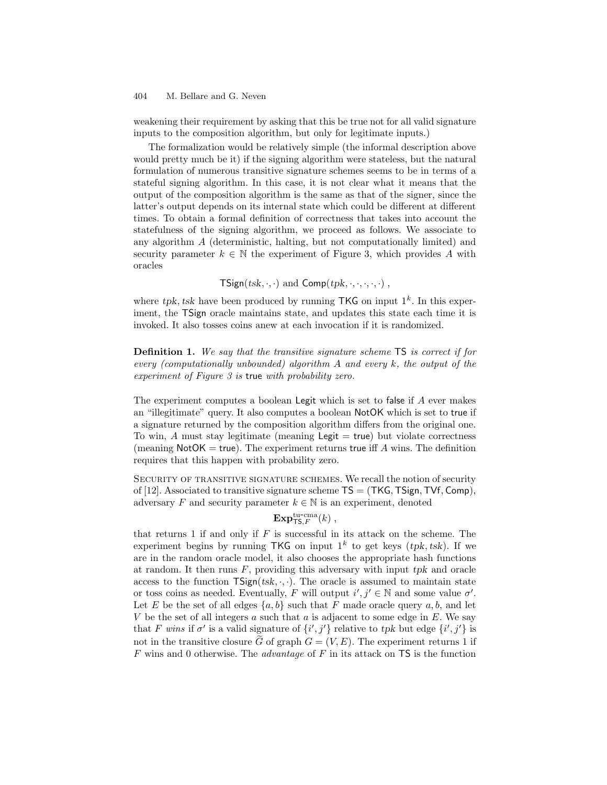weakening their requirement by asking that this be true not for all valid signature inputs to the composition algorithm, but only for legitimate inputs.)

The formalization would be relatively simple (the informal description above would pretty much be it) if the signing algorithm were stateless, but the natural formulation of numerous transitive signature schemes seems to be in terms of a stateful signing algorithm. In this case, it is not clear what it means that the output of the composition algorithm is the same as that of the signer, since the latter's output depends on its internal state which could be different at different times. To obtain a formal definition of correctness that takes into account the statefulness of the signing algorithm, we proceed as follows. We associate to any algorithm A (deterministic, halting, but not computationally limited) and security parameter  $k \in \mathbb{N}$  the experiment of Figure 3, which provides A with oracles

 $\mathsf{TSign}(tsk, \cdot, \cdot)$  and  $\mathsf{Comp}(tpk, \cdot, \cdot, \cdot, \cdot)$ ,

where tpk, tsk have been produced by running TKG on input  $1<sup>k</sup>$ . In this experiment, the TSign oracle maintains state, and updates this state each time it is invoked. It also tosses coins anew at each invocation if it is randomized.

Definition 1. We say that the transitive signature scheme TS is correct if for every (computationally unbounded) algorithm  $A$  and every  $k$ , the output of the experiment of Figure 3 is true with probability zero.

The experiment computes a boolean Legit which is set to false if A ever makes an "illegitimate" query. It also computes a boolean NotOK which is set to true if a signature returned by the composition algorithm differs from the original one. To win, A must stay legitimate (meaning  $Legit = true$ ) but violate correctness (meaning  $\text{NotOK} = \text{true}$ ). The experiment returns true iff A wins. The definition requires that this happen with probability zero.

SECURITY OF TRANSITIVE SIGNATURE SCHEMES. We recall the notion of security of [12]. Associated to transitive signature scheme  $TS = (TKG, TSign, TVf, Comp)$ , adversary F and security parameter  $k \in \mathbb{N}$  is an experiment, denoted

# $\mathbf{Exp}_{\mathsf{TS},F}^{\mathrm{tu-cma}}(k)$  ,

that returns  $1$  if and only if  $F$  is successful in its attack on the scheme. The experiment begins by running TKG on input  $1^k$  to get keys (tpk, tsk). If we are in the random oracle model, it also chooses the appropriate hash functions at random. It then runs  $F$ , providing this adversary with input tpk and oracle access to the function  $\mathsf{TSign}(tsk, \cdot, \cdot)$ . The oracle is assumed to maintain state or toss coins as needed. Eventually, F will output  $i', j' \in \mathbb{N}$  and some value  $\sigma'$ . Let E be the set of all edges  $\{a, b\}$  such that F made oracle query a, b, and let V be the set of all integers  $a$  such that  $a$  is adjacent to some edge in  $E$ . We say that F wins if  $\sigma'$  is a valid signature of  $\{i',j'\}$  relative to tpk but edge  $\{i',j'\}$  is not in the transitive closure G of graph  $G = (V, E)$ . The experiment returns 1 if  $F$  wins and 0 otherwise. The *advantage* of  $F$  in its attack on TS is the function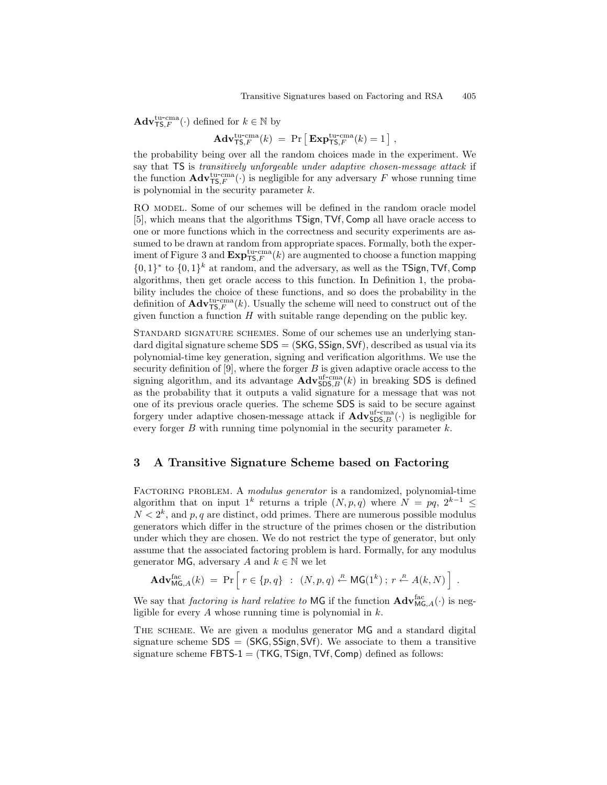$\mathbf{Adv}_{\mathsf{TS},F}^{\text{tu-cma}}(\cdot)$  defined for  $k \in \mathbb{N}$  by

$$
\mathbf{Adv}_{\mathsf{TS},F}^{\text{tu-cma}}(k) = \Pr\left[\mathbf{Exp}_{\mathsf{TS},F}^{\text{tu-cma}}(k) = 1\right],
$$

the probability being over all the random choices made in the experiment. We say that TS is transitively unforgeable under adaptive chosen-message attack if the function  $\mathbf{Adv}_{\mathsf{TS},F}^{\text{tur-cma}}(\cdot)$  is negligible for any adversary F whose running time is polynomial in the security parameter  $k$ .

RO model. Some of our schemes will be defined in the random oracle model [5], which means that the algorithms TSign,TVf, Comp all have oracle access to one or more functions which in the correctness and security experiments are assumed to be drawn at random from appropriate spaces. Formally, both the experiment of Figure 3 and  $\text{Exp}_{\text{TS},F}^{\text{tu-cma}}(k)$  are augmented to choose a function mapping  $\{0,1\}^*$  to  $\{0,1\}^k$  at random, and the adversary, as well as the TSign, TVf, Comp algorithms, then get oracle access to this function. In Definition 1, the probability includes the choice of these functions, and so does the probability in the definition of  $\mathbf{Adv}_{\mathsf{TS},F}^{\text{tur-cma}}(k)$ . Usually the scheme will need to construct out of the given function a function  $H$  with suitable range depending on the public key.

Standard signature schemes. Some of our schemes use an underlying standard digital signature scheme  $SDS = (SKG, SSign, SVf)$ , described as usual via its polynomial-time key generation, signing and verification algorithms. We use the security definition of  $[9]$ , where the forger  $B$  is given adaptive oracle access to the signing algorithm, and its advantage  $\mathbf{Adv}_{\mathsf{SDS},B}^{\text{uf-cma}}(k)$  in breaking SDS is defined as the probability that it outputs a valid signature for a message that was not one of its previous oracle queries. The scheme SDS is said to be secure against forgery under adaptive chosen-message attack if  $\mathbf{Adv}_{\mathsf{SDS},B}^{\text{uf-cma}}(\cdot)$  is negligible for every forger  $B$  with running time polynomial in the security parameter  $k$ .

## 3 A Transitive Signature Scheme based on Factoring

FACTORING PROBLEM. A modulus generator is a randomized, polynomial-time algorithm that on input  $1^k$  returns a triple  $(N, p, q)$  where  $N = pq, 2^{k-1} \leq$  $N < 2<sup>k</sup>$ , and p, q are distinct, odd primes. There are numerous possible modulus generators which differ in the structure of the primes chosen or the distribution under which they are chosen. We do not restrict the type of generator, but only assume that the associated factoring problem is hard. Formally, for any modulus generator MG, adversary A and  $k \in \mathbb{N}$  we let

$$
\mathbf{Adv}_{\mathsf{MG},A}^{\text{fac}}(k) = \Pr\left[r \in \{p,q\} : (N,p,q) \stackrel{R}{\leftarrow} \mathsf{MG}(1^k) ; r \stackrel{R}{\leftarrow} A(k,N) \right].
$$

We say that *factoring is hard relative to* **MG** if the function  $\mathbf{Adv}_{\mathsf{MG},A}^{\text{fac}}(\cdot)$  is negligible for every A whose running time is polynomial in  $k$ .

The scheme. We are given a modulus generator MG and a standard digital signature scheme  $SDS = (SKG, SSign, SVf)$ . We associate to them a transitive signature scheme  $FBTS-1 = (TKG, TSign, TVf, Comp)$  defined as follows: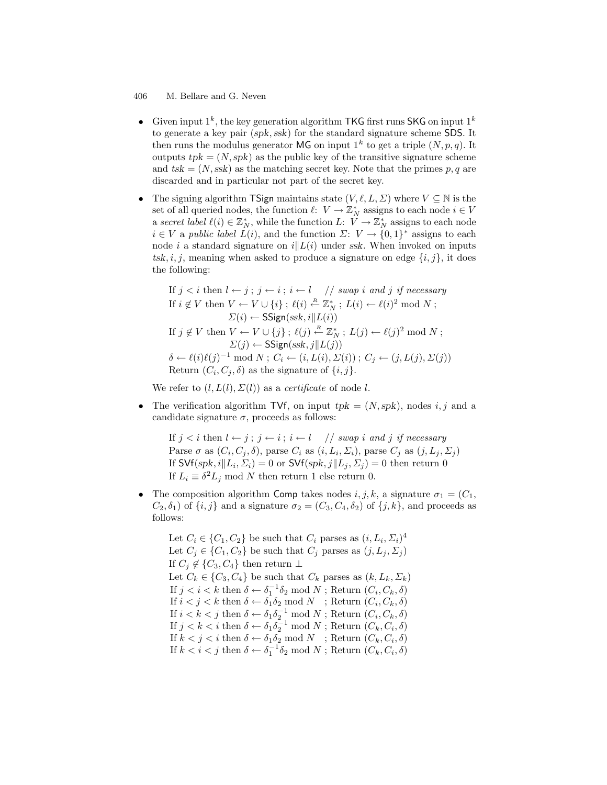- Given input  $1^k$ , the key generation algorithm TKG first runs SKG on input  $1^k$ to generate a key pair (spk,ssk) for the standard signature scheme SDS. It then runs the modulus generator MG on input  $1^k$  to get a triple  $(N, p, q)$ . It outputs  $tpk = (N, spk)$  as the public key of the transitive signature scheme and  $tsk = (N, ssk)$  as the matching secret key. Note that the primes p, q are discarded and in particular not part of the secret key.
- The signing algorithm TSign maintains state  $(V, \ell, L, \Sigma)$  where  $V \subseteq \mathbb{N}$  is the set of all queried nodes, the function  $\ell: V \to \mathbb{Z}_N^*$  assigns to each node  $i \in V$ a secret label  $\ell(i) \in \mathbb{Z}_N^*$ , while the function L:  $\hat{V} \to \tilde{\mathbb{Z}_N^*}$  assigns to each node  $i \in V$  a public label  $\tilde{L}(i)$ , and the function  $\Sigma: V \to \{0,1\}^*$  assigns to each node i a standard signature on  $i||L(i)$  under ssk. When invoked on inputs tsk, i, j, meaning when asked to produce a signature on edge  $\{i, j\}$ , it does the following:

If 
$$
j < i
$$
 then  $l \leftarrow j$ ;  $j \leftarrow i$ ;  $i \leftarrow l$  // swap  $i$  and  $j$  if necessary. If  $i \notin V$  then  $V \leftarrow V \cup \{i\}$ ;  $\ell(i) \stackrel{\text{R}}{\leftarrow} \mathbb{Z}_N^*$ ;  $L(i) \leftarrow \ell(i)^2 \mod N$ ;  $\Sigma(i) \leftarrow \text{Sign}(ssk, i||L(i))$ . If  $j \notin V$  then  $V \leftarrow V \cup \{j\}$ ;  $\ell(j) \stackrel{\text{R}}{\leftarrow} \mathbb{Z}_N^*$ ;  $L(j) \leftarrow \ell(j)^2 \mod N$ ;  $\Sigma(j) \leftarrow \text{Sign}(ssk, j||L(j))$ .  $\delta \leftarrow \ell(i)\ell(j)^{-1} \mod N$ ;  $C_i \leftarrow (i, L(i), \Sigma(i))$ ;  $C_j \leftarrow (j, L(j), \Sigma(j))$ . Return  $(C_i, C_j, \delta)$  as the signature of  $\{i, j\}$ .

We refer to  $(l, L(l), \Sigma(l))$  as a *certificate* of node l.

• The verification algorithm TVf, on input  $tpk = (N, spk)$ , nodes i, j and a candidate signature  $\sigma$ , proceeds as follows:

If  $j < i$  then  $l \leftarrow j$ ;  $j \leftarrow i$ ;  $i \leftarrow l$  // swap i and j if necessary Parse  $\sigma$  as  $(C_i, C_j, \delta)$ , parse  $C_i$  as  $(i, L_i, \Sigma_i)$ , parse  $C_j$  as  $(j, L_j, \Sigma_j)$ If  $\mathsf{SVf}(spk, i||L_i, \Sigma_i) = 0$  or  $\mathsf{SVf}(spk, j||L_j, \Sigma_j) = 0$  then return 0 If  $L_i \equiv \delta^2 L_j \mod N$  then return 1 else return 0.

The composition algorithm Comp takes nodes  $i, j, k$ , a signature  $\sigma_1 = (C_1,$  $C_2$ ,  $\delta_1$ ) of  $\{i, j\}$  and a signature  $\sigma_2 = (C_3, C_4, \delta_2)$  of  $\{j, k\}$ , and proceeds as follows:

Let  $C_i \in \{C_1, C_2\}$  be such that  $C_i$  parses as  $(i, L_i, \Sigma_i)^4$ Let  $C_j \in \{C_1, C_2\}$  be such that  $C_j$  parses as  $(j, L_j, \Sigma_j)$ If  $C_j \notin \{C_3, C_4\}$  then return  $\perp$ Let  $C_k \in \{C_3, C_4\}$  be such that  $C_k$  parses as  $(k, L_k, \Sigma_k)$ If  $j < i < k$  then  $\delta \leftarrow \delta_1^{-1} \delta_2 \bmod N$  ; Return  $(C_i, C_k, \delta)$ If  $i < j < k$  then  $\delta \leftarrow \delta_1 \delta_2 \mod N$ ; Return  $(C_i, C_k, \delta)$ If  $i < k < j$  then  $\delta \leftarrow \delta_1 \delta_2^{-1} \bmod N$ ; Return  $(C_i, C_k, \delta)$ If  $j < k < i$  then  $\delta \leftarrow \delta_1 \delta_2^{-1} \bmod N$ ; Return  $(C_k, C_i, \delta)$ If  $k < j < i$  then  $\delta \leftarrow \delta_1 \delta_2 \mod N$ ; Return  $(C_k, C_i, \delta)$ If  $k < i < j$  then  $\delta \leftarrow \delta_1^{-1} \delta_2 \text{ mod } N$ ; Return  $(C_k, C_i, \delta)$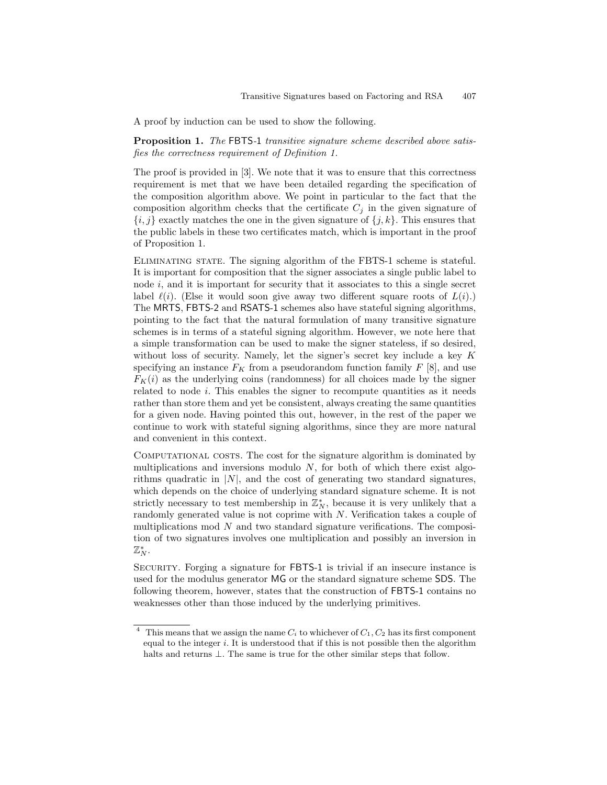A proof by induction can be used to show the following.

Proposition 1. The FBTS-1 transitive signature scheme described above satisfies the correctness requirement of Definition 1.

The proof is provided in [3]. We note that it was to ensure that this correctness requirement is met that we have been detailed regarding the specification of the composition algorithm above. We point in particular to the fact that the composition algorithm checks that the certificate  $C_i$  in the given signature of  ${i, j}$  exactly matches the one in the given signature of  ${j, k}$ . This ensures that the public labels in these two certificates match, which is important in the proof of Proposition 1.

Eliminating state. The signing algorithm of the FBTS-1 scheme is stateful. It is important for composition that the signer associates a single public label to node  $i$ , and it is important for security that it associates to this a single secret label  $\ell(i)$ . (Else it would soon give away two different square roots of  $L(i)$ .) The MRTS, FBTS-2 and RSATS-1 schemes also have stateful signing algorithms, pointing to the fact that the natural formulation of many transitive signature schemes is in terms of a stateful signing algorithm. However, we note here that a simple transformation can be used to make the signer stateless, if so desired, without loss of security. Namely, let the signer's secret key include a key K specifying an instance  $F_K$  from a pseudorandom function family F [8], and use  $F_K(i)$  as the underlying coins (randomness) for all choices made by the signer related to node  $i$ . This enables the signer to recompute quantities as it needs rather than store them and yet be consistent, always creating the same quantities for a given node. Having pointed this out, however, in the rest of the paper we continue to work with stateful signing algorithms, since they are more natural and convenient in this context.

Computational costs. The cost for the signature algorithm is dominated by multiplications and inversions modulo  $N$ , for both of which there exist algorithms quadratic in  $|N|$ , and the cost of generating two standard signatures, which depends on the choice of underlying standard signature scheme. It is not strictly necessary to test membership in  $\mathbb{Z}_N^*$ , because it is very unlikely that a randomly generated value is not coprime with N. Verification takes a couple of multiplications mod  $N$  and two standard signature verifications. The composition of two signatures involves one multiplication and possibly an inversion in  $\mathbb{Z}_N^*$ .

SECURITY. Forging a signature for FBTS-1 is trivial if an insecure instance is used for the modulus generator MG or the standard signature scheme SDS. The following theorem, however, states that the construction of FBTS-1 contains no weaknesses other than those induced by the underlying primitives.

<sup>&</sup>lt;sup>4</sup> This means that we assign the name  $C_i$  to whichever of  $C_1, C_2$  has its first component equal to the integer  $i$ . It is understood that if this is not possible then the algorithm halts and returns  $\perp$ . The same is true for the other similar steps that follow.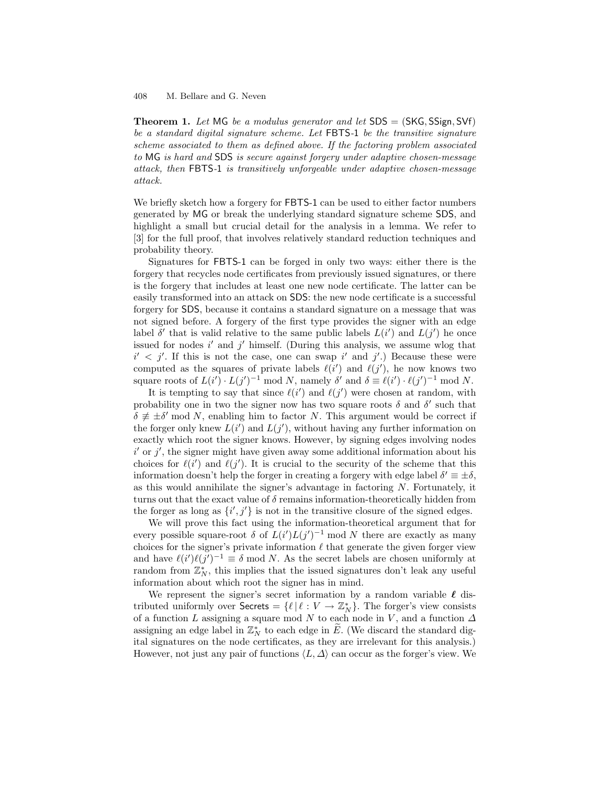**Theorem 1.** Let MG be a modulus generator and let  $SDS = (SKG, SSign, SVf)$ be a standard digital signature scheme. Let FBTS-1 be the transitive signature scheme associated to them as defined above. If the factoring problem associated to MG is hard and SDS is secure against forgery under adaptive chosen-message attack, then FBTS-1 is transitively unforgeable under adaptive chosen-message attack.

We briefly sketch how a forgery for FBTS-1 can be used to either factor numbers generated by MG or break the underlying standard signature scheme SDS, and highlight a small but crucial detail for the analysis in a lemma. We refer to [3] for the full proof, that involves relatively standard reduction techniques and probability theory.

Signatures for FBTS-1 can be forged in only two ways: either there is the forgery that recycles node certificates from previously issued signatures, or there is the forgery that includes at least one new node certificate. The latter can be easily transformed into an attack on SDS: the new node certificate is a successful forgery for SDS, because it contains a standard signature on a message that was not signed before. A forgery of the first type provides the signer with an edge label  $\delta'$  that is valid relative to the same public labels  $L(i')$  and  $L(j')$  he once issued for nodes  $i'$  and  $j'$  himself. (During this analysis, we assume wlog that  $i' < j'$ . If this is not the case, one can swap i' and j'.) Because these were computed as the squares of private labels  $\ell(i')$  and  $\ell(j')$ , he now knows two square roots of  $L(i') \cdot L(j')^{-1}$  mod N, namely  $\delta'$  and  $\delta \equiv \ell(i') \cdot \ell(j')^{-1}$  mod N.

It is tempting to say that since  $\ell(i')$  and  $\ell(j')$  were chosen at random, with probability one in two the signer now has two square roots  $\delta$  and  $\delta'$  such that  $\delta \neq \pm \delta'$  mod N, enabling him to factor N. This argument would be correct if the forger only knew  $L(i')$  and  $L(j')$ , without having any further information on exactly which root the signer knows. However, by signing edges involving nodes  $i'$  or  $j'$ , the signer might have given away some additional information about his choices for  $\ell(i')$  and  $\ell(j')$ . It is crucial to the security of the scheme that this information doesn't help the forger in creating a forgery with edge label  $\delta' \equiv \pm \delta$ , as this would annihilate the signer's advantage in factoring  $N$ . Fortunately, it turns out that the exact value of  $\delta$  remains information-theoretically hidden from the forger as long as  $\{i',j'\}$  is not in the transitive closure of the signed edges.

We will prove this fact using the information-theoretical argument that for every possible square-root  $\delta$  of  $L(i')L(j')^{-1}$  mod N there are exactly as many choices for the signer's private information  $\ell$  that generate the given forger view and have  $\ell(i')\ell(j')^{-1} \equiv \delta \mod N$ . As the secret labels are chosen uniformly at random from  $\mathbb{Z}_N^*$ , this implies that the issued signatures don't leak any useful information about which root the signer has in mind.

We represent the signer's secret information by a random variable  $\ell$  distributed uniformly over Secrets =  $\{\ell \mid \ell : V \to \mathbb{Z}_N^*\}$ . The forger's view consists of a function L assigning a square mod N to each node in V, and a function  $\Delta$ assigning an edge label in  $\mathbb{Z}_N^*$  to each edge in  $\widetilde{E}$ . (We discard the standard digital signatures on the node certificates, as they are irrelevant for this analysis.) However, not just any pair of functions  $\langle L, \Delta \rangle$  can occur as the forger's view. We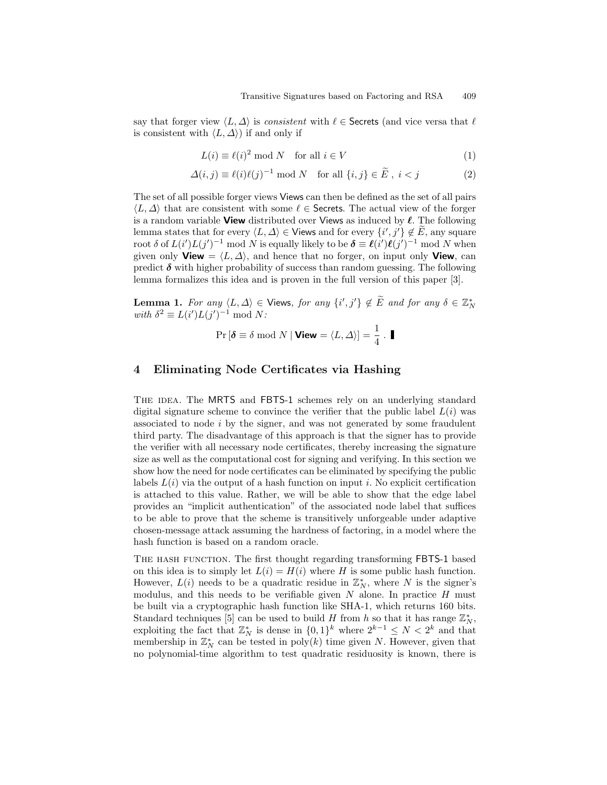say that forger view  $\langle L, \Delta \rangle$  is consistent with  $\ell \in$  Secrets (and vice versa that  $\ell$ is consistent with  $\langle L, \Delta \rangle$  if and only if

$$
L(i) \equiv \ell(i)^2 \bmod N \quad \text{for all } i \in V \tag{1}
$$

$$
\Delta(i,j) \equiv \ell(i)\ell(j)^{-1} \bmod N \quad \text{for all } \{i,j\} \in \widetilde{E}, \ i < j \tag{2}
$$

The set of all possible forger views Views can then be defined as the set of all pairs  $\langle L, \Delta \rangle$  that are consistent with some  $\ell \in$  Secrets. The actual view of the forger is a random variable **View** distributed over Views as induced by  $\ell$ . The following lemma states that for every  $\langle L, \Delta \rangle \in \mathsf{V}$ iews and for every  $\{i', j'\} \notin \widetilde{E}$ , any square root  $\delta$  of  $L(i')L(j')^{-1} \mod N$  is equally likely to be  $\delta \equiv \ell(i')\ell(j')^{-1} \mod N$  when given only **View** =  $\langle L, \Delta \rangle$ , and hence that no forger, on input only **View**, can predict  $\delta$  with higher probability of success than random guessing. The following lemma formalizes this idea and is proven in the full version of this paper [3].

**Lemma 1.** For any  $\langle L, \Delta \rangle \in \text{Views},$  for any  $\{i', j'\} \notin \widetilde{E}$  and for any  $\delta \in \mathbb{Z}_N^*$ <br>with  $\delta^2 \equiv L(i')L(j')^{-1} \bmod N$ :

$$
\Pr\left[\boldsymbol{\delta} \equiv \delta \bmod N \mid \text{View} = \langle L, \Delta \rangle\right] = \frac{1}{4} \cdot \blacksquare
$$

## 4 Eliminating Node Certificates via Hashing

THE IDEA. The MRTS and FBTS-1 schemes rely on an underlying standard digital signature scheme to convince the verifier that the public label  $L(i)$  was associated to node  $i$  by the signer, and was not generated by some fraudulent third party. The disadvantage of this approach is that the signer has to provide the verifier with all necessary node certificates, thereby increasing the signature size as well as the computational cost for signing and verifying. In this section we show how the need for node certificates can be eliminated by specifying the public labels  $L(i)$  via the output of a hash function on input i. No explicit certification is attached to this value. Rather, we will be able to show that the edge label provides an "implicit authentication" of the associated node label that suffices to be able to prove that the scheme is transitively unforgeable under adaptive chosen-message attack assuming the hardness of factoring, in a model where the hash function is based on a random oracle.

The hash function. The first thought regarding transforming FBTS-1 based on this idea is to simply let  $L(i) = H(i)$  where H is some public hash function. However,  $L(i)$  needs to be a quadratic residue in  $\mathbb{Z}_N^*$ , where N is the signer's modulus, and this needs to be verifiable given  $N$  alone. In practice  $H$  must be built via a cryptographic hash function like SHA-1, which returns 160 bits. Standard techniques [5] can be used to build H from h so that it has range  $\mathbb{Z}_N^*$ , exploiting the fact that  $\mathbb{Z}_N^*$  is dense in  $\{0,1\}^k$  where  $2^{k-1} \leq N < 2^k$  and that membership in  $\mathbb{Z}_N^*$  can be tested in poly $(k)$  time given N. However, given that no polynomial-time algorithm to test quadratic residuosity is known, there is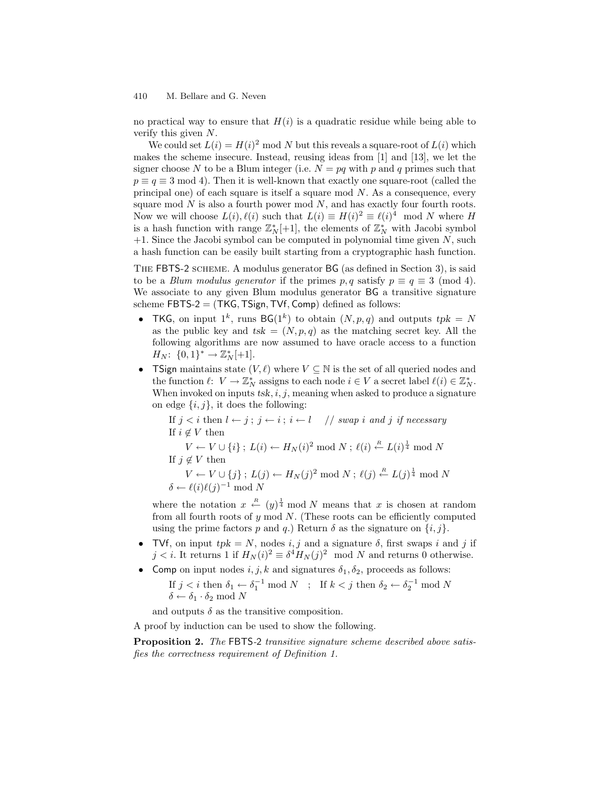no practical way to ensure that  $H(i)$  is a quadratic residue while being able to verify this given N.

We could set  $L(i) = H(i)^2 \text{ mod } N$  but this reveals a square-root of  $L(i)$  which makes the scheme insecure. Instead, reusing ideas from [1] and [13], we let the signer choose N to be a Blum integer (i.e.  $N = pq$  with p and q primes such that  $p \equiv q \equiv 3 \mod 4$ ). Then it is well-known that exactly one square-root (called the principal one) of each square is itself a square mod  $N$ . As a consequence, every square mod  $N$  is also a fourth power mod  $N$ , and has exactly four fourth roots. Now we will choose  $L(i)$ ,  $\ell(i)$  such that  $L(i) \equiv H(i)^2 \equiv \ell(i)^4 \mod N$  where H is a hash function with range  $\mathbb{Z}_N^*[+1]$ , the elements of  $\mathbb{Z}_N^*$  with Jacobi symbol  $+1$ . Since the Jacobi symbol can be computed in polynomial time given N, such a hash function can be easily built starting from a cryptographic hash function.

THE FBTS-2 SCHEME. A modulus generator BG (as defined in Section 3), is said to be a *Blum modulus generator* if the primes  $p, q$  satisfy  $p \equiv q \equiv 3 \pmod{4}$ . We associate to any given Blum modulus generator  $BG$  a transitive signature scheme FBTS-2 =  $(TKG, TSign, TVf, Comp)$  defined as follows:

- TKG, on input  $1^k$ , runs BG( $1^k$ ) to obtain  $(N, p, q)$  and outputs  $tpk = N$ as the public key and  $tsk = (N, p, q)$  as the matching secret key. All the following algorithms are now assumed to have oracle access to a function  $H_N: \{0,1\}^* \to \mathbb{Z}_N^*[+1].$
- **TSign** maintains state  $(V, \ell)$  where  $V \subseteq \mathbb{N}$  is the set of all queried nodes and the function  $\ell: V \to \mathbb{Z}_N^*$  assigns to each node  $i \in V$  a secret label  $\ell(i) \in \mathbb{Z}_N^*$ . When invoked on inputs  $tsk, i, j$ , meaning when asked to produce a signature on edge  $\{i, j\}$ , it does the following:

If 
$$
j < i
$$
 then  $l \leftarrow j$ ;  $j \leftarrow i$ ;  $i \leftarrow l$  // swap  $i$  and  $j$  if necessary. If  $i \notin V$  then  $V \leftarrow V \cup \{i\}$ ;  $L(i) \leftarrow H_N(i)^2 \mod N$ ;  $\ell(i) \leftarrow L(i)^{\frac{1}{4}} \mod N$ . If  $j \notin V$  then  $V \leftarrow V \cup \{j\}$ ;  $L(j) \leftarrow H_N(j)^2 \mod N$ ;  $\ell(j) \leftarrow L(j)^{\frac{1}{4}} \mod N$ .

$$
\delta \leftarrow \ell(i)\ell(j)^{-1} \bmod N
$$

where the notation  $x \stackrel{R}{\leftarrow} (y)^{\frac{1}{4}} \mod N$  means that x is chosen at random from all fourth roots of  $y \mod N$ . (These roots can be efficiently computed using the prime factors p and q.) Return  $\delta$  as the signature on  $\{i, j\}$ .

- TVf, on input  $tpk = N$ , nodes  $i, j$  and a signature  $\delta$ , first swaps i and j if  $j < i$ . It returns 1 if  $H_N(i)^2 \equiv \delta^4 H_N(j)^2 \mod N$  and returns 0 otherwise.
- Comp on input nodes  $i, j, k$  and signatures  $\delta_1, \delta_2$ , proceeds as follows: If  $j < i$  then  $\delta_1 \leftarrow \delta_1^{-1} \mod N$  ; If  $k < j$  then  $\delta_2 \leftarrow \delta_2^{-1} \mod N$  $\delta \leftarrow \delta_1 \cdot \delta_2 \mod N$

and outputs  $\delta$  as the transitive composition.

A proof by induction can be used to show the following.

Proposition 2. The FBTS-2 transitive signature scheme described above satisfies the correctness requirement of Definition 1.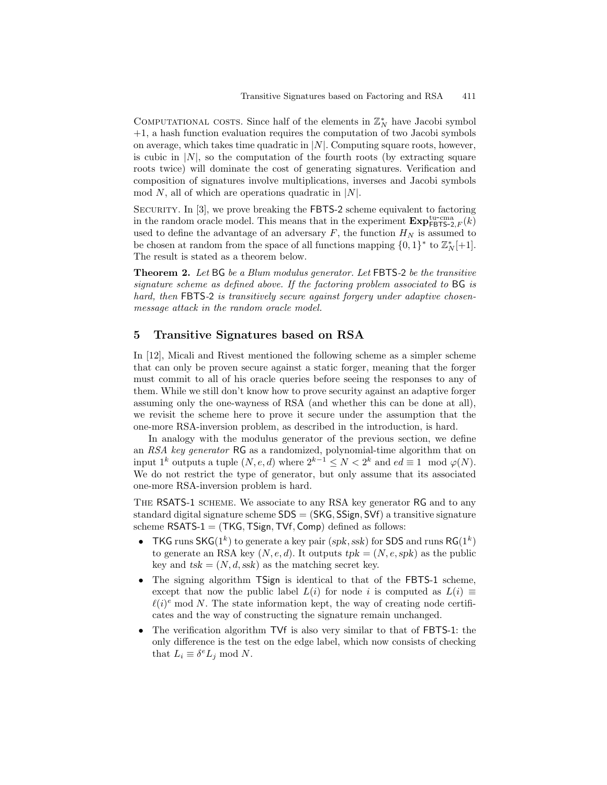COMPUTATIONAL COSTS. Since half of the elements in  $\mathbb{Z}_N^*$  have Jacobi symbol +1, a hash function evaluation requires the computation of two Jacobi symbols on average, which takes time quadratic in  $|N|$ . Computing square roots, however, is cubic in  $|N|$ , so the computation of the fourth roots (by extracting square roots twice) will dominate the cost of generating signatures. Verification and composition of signatures involve multiplications, inverses and Jacobi symbols mod N, all of which are operations quadratic in  $|N|$ .

SECURITY. In [3], we prove breaking the FBTS-2 scheme equivalent to factoring in the random oracle model. This means that in the experiment  $\text{Exp}_{\text{FBTS-2},F}^{\text{tu-cma}}(k)$ used to define the advantage of an adversary  $F$ , the function  $H_N$  is assumed to be chosen at random from the space of all functions mapping  $\{0,1\}^*$  to  $\mathbb{Z}_N^*[+1]$ . The result is stated as a theorem below.

Theorem 2. Let BG be a Blum modulus generator. Let FBTS-2 be the transitive signature scheme as defined above. If the factoring problem associated to BG is hard, then FBTS-2 is transitively secure against forgery under adaptive chosenmessage attack in the random oracle model.

# 5 Transitive Signatures based on RSA

In [12], Micali and Rivest mentioned the following scheme as a simpler scheme that can only be proven secure against a static forger, meaning that the forger must commit to all of his oracle queries before seeing the responses to any of them. While we still don't know how to prove security against an adaptive forger assuming only the one-wayness of RSA (and whether this can be done at all), we revisit the scheme here to prove it secure under the assumption that the one-more RSA-inversion problem, as described in the introduction, is hard.

In analogy with the modulus generator of the previous section, we define an RSA key generator RG as a randomized, polynomial-time algorithm that on input 1<sup>k</sup> outputs a tuple  $(N, e, d)$  where  $2^{k-1} \le N < 2^k$  and  $ed \equiv 1 \mod \varphi(N)$ . We do not restrict the type of generator, but only assume that its associated one-more RSA-inversion problem is hard.

The RSATS-1 scheme. We associate to any RSA key generator RG and to any standard digital signature scheme SDS = (SKG, SSign, SVf) a transitive signature scheme  $RSATS-1 = (TKG, TSign, TVf, Comp)$  defined as follows:

- TKG runs  $SKG(1^k)$  to generate a key pair  $(spk, ssk)$  for SDS and runs RG $(1^k)$ to generate an RSA key  $(N, e, d)$ . It outputs  $tpk = (N, e, spk)$  as the public key and  $tsk = (N, d, ssk)$  as the matching secret key.
- The signing algorithm TSign is identical to that of the FBTS-1 scheme, except that now the public label  $L(i)$  for node i is computed as  $L(i) \equiv$  $\ell(i)^e$  mod N. The state information kept, the way of creating node certificates and the way of constructing the signature remain unchanged.
- The verification algorithm TVf is also very similar to that of FBTS-1: the only difference is the test on the edge label, which now consists of checking that  $L_i \equiv \delta^e L_j \text{ mod } N$ .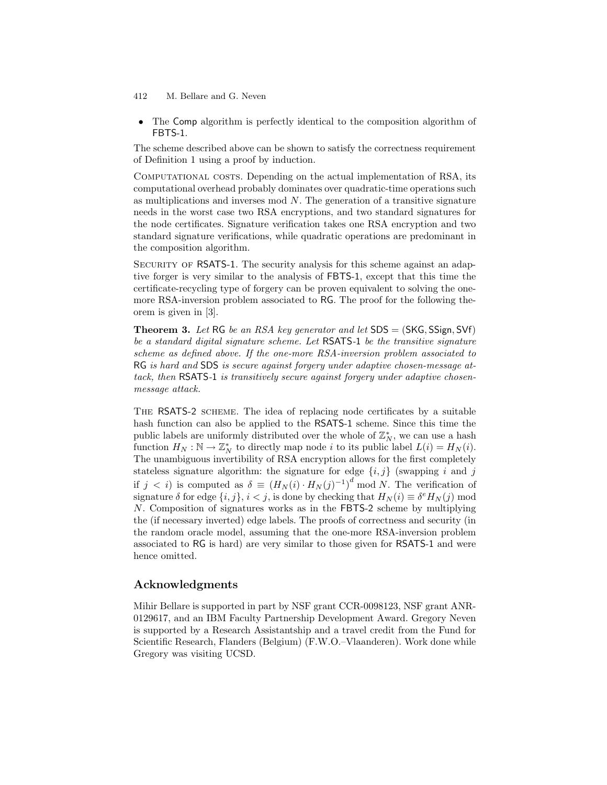- 412 M. Bellare and G. Neven
- The Comp algorithm is perfectly identical to the composition algorithm of FBTS-1.

The scheme described above can be shown to satisfy the correctness requirement of Definition 1 using a proof by induction.

COMPUTATIONAL COSTS. Depending on the actual implementation of RSA, its computational overhead probably dominates over quadratic-time operations such as multiplications and inverses mod  $N$ . The generation of a transitive signature needs in the worst case two RSA encryptions, and two standard signatures for the node certificates. Signature verification takes one RSA encryption and two standard signature verifications, while quadratic operations are predominant in the composition algorithm.

Security of RSATS-1. The security analysis for this scheme against an adaptive forger is very similar to the analysis of FBTS-1, except that this time the certificate-recycling type of forgery can be proven equivalent to solving the onemore RSA-inversion problem associated to RG. The proof for the following theorem is given in [3].

**Theorem 3.** Let RG be an RSA key generator and let  $SDS = (SKG, SSign, SVf)$ be a standard digital signature scheme. Let RSATS-1 be the transitive signature scheme as defined above. If the one-more RSA-inversion problem associated to RG is hard and SDS is secure against forgery under adaptive chosen-message attack, then RSATS-1 is transitively secure against forgery under adaptive chosenmessage attack.

The RSATS-2 scheme. The idea of replacing node certificates by a suitable hash function can also be applied to the RSATS-1 scheme. Since this time the public labels are uniformly distributed over the whole of  $\mathbb{Z}_N^*$ , we can use a hash function  $H_N : \mathbb{N} \to \mathbb{Z}_N^*$  to directly map node i to its public label  $L(i) = H_N(i)$ . The unambiguous invertibility of RSA encryption allows for the first completely stateless signature algorithm: the signature for edge  $\{i, j\}$  (swapping i and j if  $j < i$ ) is computed as  $\delta \equiv (H_N(i) \cdot H_N(j)^{-1})^d \mod N$ . The verification of signature  $\delta$  for edge  $\{i, j\}$ ,  $i < j$ , is done by checking that  $H_N(i) \equiv \delta^e H_N(j)$  mod N. Composition of signatures works as in the FBTS-2 scheme by multiplying the (if necessary inverted) edge labels. The proofs of correctness and security (in the random oracle model, assuming that the one-more RSA-inversion problem associated to RG is hard) are very similar to those given for RSATS-1 and were hence omitted.

# Acknowledgments

Mihir Bellare is supported in part by NSF grant CCR-0098123, NSF grant ANR-0129617, and an IBM Faculty Partnership Development Award. Gregory Neven is supported by a Research Assistantship and a travel credit from the Fund for Scientific Research, Flanders (Belgium) (F.W.O.–Vlaanderen). Work done while Gregory was visiting UCSD.